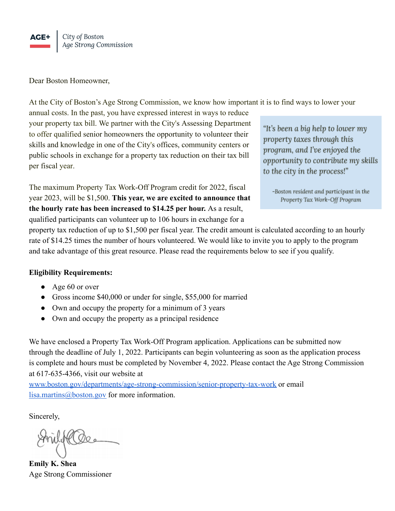

Dear Boston Homeowner,

At the City of Boston's Age Strong Commission, we know how important it is to find ways to lower your

annual costs. In the past, you have expressed interest in ways to reduce your property tax bill. We partner with the City's Assessing Department to offer qualified senior homeowners the opportunity to volunteer their skills and knowledge in one of the City's offices, community centers or public schools in exchange for a property tax reduction on their tax bill per fiscal year.

The maximum Property Tax Work-Off Program credit for 2022, fiscal year 2023, will be \$1,500. **This year, we are excited to announce that the hourly rate has been increased to \$14.25 per hour.** As a result, qualified participants can volunteer up to 106 hours in exchange for a

"It's been a big help to lower my property taxes through this program, and I've enjoyed the opportunity to contribute my skills to the city in the process!"

-Boston resident and participant in the Property Tax Work-Off Program

property tax reduction of up to \$1,500 per fiscal year. The credit amount is calculated according to an hourly rate of \$14.25 times the number of hours volunteered. We would like to invite you to apply to the program and take advantage of this great resource. Please read the requirements below to see if you qualify.

## **Eligibility Requirements:**

- Age 60 or over
- Gross income \$40,000 or under for single, \$55,000 for married
- Own and occupy the property for a minimum of 3 years
- Own and occupy the property as a principal residence

We have enclosed a Property Tax Work-Off Program application. Applications can be submitted now through the deadline of July 1, 2022. Participants can begin volunteering as soon as the application process is complete and hours must be completed by November 4, 2022. Please contact the Age Strong Commission at 617*-*635-4366, visit our website at

[www.boston.gov/departments/age-strong-commission/senior-property-tax-work](http://www.boston.gov/departments/age-strong-commission/senior-property-tax-work) or email [lisa.martins@boston.gov](mailto:lisa.martins@boston.gov) for more information.

Sincerely,

**Emily K. Shea** Age Strong Commissioner